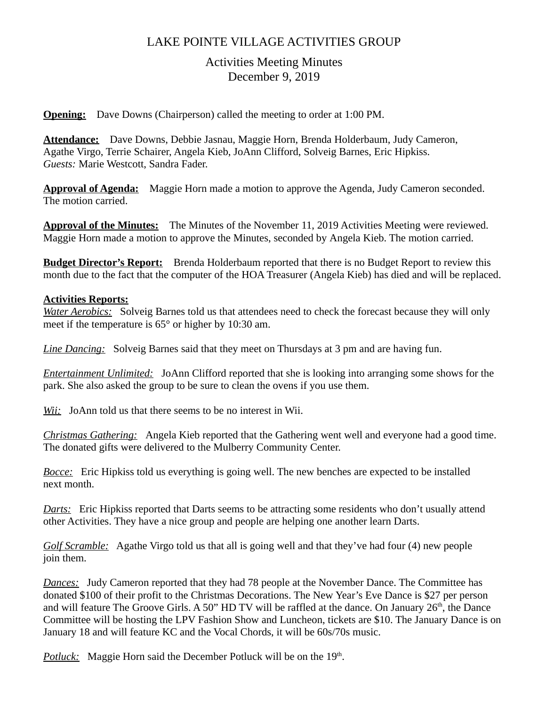# LAKE POINTE VILLAGE ACTIVITIES GROUP

## Activities Meeting Minutes December 9, 2019

**Opening:** Dave Downs (Chairperson) called the meeting to order at 1:00 PM.

**Attendance:** Dave Downs, Debbie Jasnau, Maggie Horn, Brenda Holderbaum, Judy Cameron, Agathe Virgo, Terrie Schairer, Angela Kieb, JoAnn Clifford, Solveig Barnes, Eric Hipkiss. *Guests:* Marie Westcott, Sandra Fader.

**Approval of Agenda:** Maggie Horn made a motion to approve the Agenda, Judy Cameron seconded. The motion carried.

**Approval of the Minutes:** The Minutes of the November 11, 2019 Activities Meeting were reviewed. Maggie Horn made a motion to approve the Minutes, seconded by Angela Kieb. The motion carried.

**Budget Director's Report:** Brenda Holderbaum reported that there is no Budget Report to review this month due to the fact that the computer of the HOA Treasurer (Angela Kieb) has died and will be replaced.

#### **Activities Reports:**

*Water Aerobics:* Solveig Barnes told us that attendees need to check the forecast because they will only meet if the temperature is 65° or higher by 10:30 am.

*Line Dancing:* Solveig Barnes said that they meet on Thursdays at 3 pm and are having fun.

*Entertainment Unlimited:* JoAnn Clifford reported that she is looking into arranging some shows for the park. She also asked the group to be sure to clean the ovens if you use them.

*Wii:* JoAnn told us that there seems to be no interest in Wii.

*Christmas Gathering:* Angela Kieb reported that the Gathering went well and everyone had a good time. The donated gifts were delivered to the Mulberry Community Center.

*Bocce:* Eric Hipkiss told us everything is going well. The new benches are expected to be installed next month.

*Darts:* Eric Hipkiss reported that Darts seems to be attracting some residents who don't usually attend other Activities. They have a nice group and people are helping one another learn Darts.

*Golf Scramble:* Agathe Virgo told us that all is going well and that they've had four (4) new people join them.

*Dances:* Judy Cameron reported that they had 78 people at the November Dance. The Committee has donated \$100 of their profit to the Christmas Decorations. The New Year's Eve Dance is \$27 per person and will feature The Groove Girls. A 50" HD TV will be raffled at the dance. On January  $26<sup>th</sup>$ , the Dance Committee will be hosting the LPV Fashion Show and Luncheon, tickets are \$10. The January Dance is on January 18 and will feature KC and the Vocal Chords, it will be 60s/70s music.

Potluck: Maggie Horn said the December Potluck will be on the 19<sup>th</sup>.